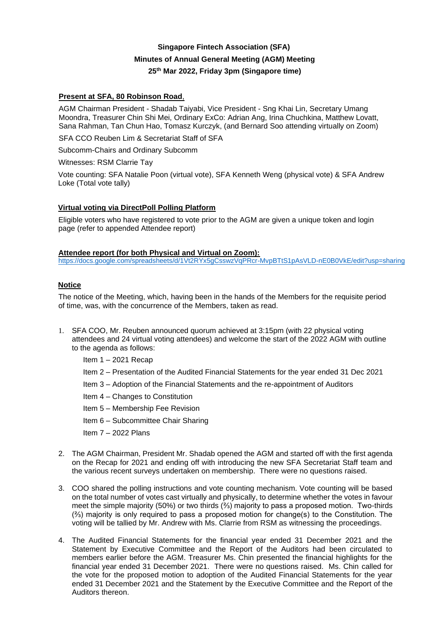# **Singapore Fintech Association (SFA) Minutes of Annual General Meeting (AGM) Meeting 25th Mar 2022, Friday 3pm (Singapore time)**

# **Present at SFA, 80 Robinson Road**,

AGM Chairman President - Shadab Taiyabi, Vice President - Sng Khai Lin, Secretary Umang Moondra, Treasurer Chin Shi Mei, Ordinary ExCo: Adrian Ang, Irina Chuchkina, Matthew Lovatt, Sana Rahman, Tan Chun Hao, Tomasz Kurczyk, (and Bernard Soo attending virtually on Zoom)

SFA CCO Reuben Lim & Secretariat Staff of SFA

Subcomm-Chairs and Ordinary Subcomm

Witnesses: RSM Clarrie Tay

Vote counting: SFA Natalie Poon (virtual vote), SFA Kenneth Weng (physical vote) & SFA Andrew Loke (Total vote tally)

# **Virtual voting via DirectPoll Polling Platform**

Eligible voters who have registered to vote prior to the AGM are given a unique token and login page (refer to appended Attendee report)

#### **Attendee report (for both Physical and Virtual on Zoom):**

<https://docs.google.com/spreadsheets/d/1Vt2RYx5gCsswzVqPRcr-MvpBTtS1pAsVLD-nE0B0VkE/edit?usp=sharing>

## **Notice**

The notice of the Meeting, which, having been in the hands of the Members for the requisite period of time, was, with the concurrence of the Members, taken as read.

- 1. SFA COO, Mr. Reuben announced quorum achieved at 3:15pm (with 22 physical voting attendees and 24 virtual voting attendees) and welcome the start of the 2022 AGM with outline to the agenda as follows:
	- Item 1 2021 Recap
	- Item 2 Presentation of the Audited Financial Statements for the year ended 31 Dec 2021
	- Item 3 Adoption of the Financial Statements and the re-appointment of Auditors
	- Item 4 Changes to Constitution
	- Item 5 Membership Fee Revision
	- Item 6 Subcommittee Chair Sharing
	- Item 7 2022 Plans
- 2. The AGM Chairman, President Mr. Shadab opened the AGM and started off with the first agenda on the Recap for 2021 and ending off with introducing the new SFA Secretariat Staff team and the various recent surveys undertaken on membership. There were no questions raised.
- 3. COO shared the polling instructions and vote counting mechanism. Vote counting will be based on the total number of votes cast virtually and physically, to determine whether the votes in favour meet the simple majority (50%) or two thirds (⅔) majority to pass a proposed motion. Two-thirds (⅔) majority is only required to pass a proposed motion for change(s) to the Constitution. The voting will be tallied by Mr. Andrew with Ms. Clarrie from RSM as witnessing the proceedings.
- 4. The Audited Financial Statements for the financial year ended 31 December 2021 and the Statement by Executive Committee and the Report of the Auditors had been circulated to members earlier before the AGM. Treasurer Ms. Chin presented the financial highlights for the financial year ended 31 December 2021. There were no questions raised. Ms. Chin called for the vote for the proposed motion to adoption of the Audited Financial Statements for the year ended 31 December 2021 and the Statement by the Executive Committee and the Report of the Auditors thereon.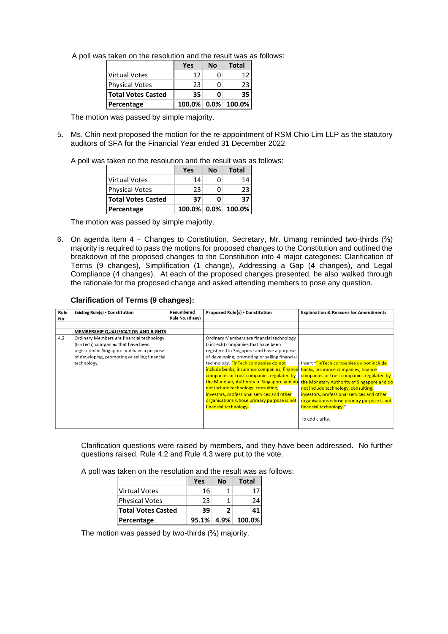|                           | Yes | Nο | <b>Total</b>       |
|---------------------------|-----|----|--------------------|
| Virtual Votes             | 12  | n  | 17                 |
| <b>Physical Votes</b>     | 23  | ი  | 23                 |
| <b>Total Votes Casted</b> | 35  | n  | 35                 |
| Percentage                |     |    | 100.0% 0.0% 100.0% |

The motion was passed by simple majority.

5. Ms. Chin next proposed the motion for the re-appointment of RSM Chio Lim LLP as the statutory auditors of SFA for the Financial Year ended 31 December 2022

A poll was taken on the resolution and the result was as follows:

|                           | Yes | <b>No</b> | <b>Total</b>       |
|---------------------------|-----|-----------|--------------------|
| <b>Virtual Votes</b>      | 14  | n         | 14                 |
| <b>Physical Votes</b>     | 23  | O         | 23                 |
| <b>Total Votes Casted</b> | 37  | Ω         | 37                 |
| Percentage                |     |           | 100.0% 0.0% 100.0% |

The motion was passed by simple majority.

6. On agenda item 4 – Changes to Constitution, Secretary, Mr. Umang reminded two-thirds  $(*')$ majority is required to pass the motions for proposed changes to the Constitution and outlined the breakdown of the proposed changes to the Constitution into 4 major categories: Clarification of Terms (9 changes), Simplification (1 change), Addressing a Gap (4 changes), and Legal Compliance (4 changes). At each of the proposed changes presented, he also walked through the rationale for the proposed change and asked attending members to pose any question.

#### **Clarification of Terms (9 changes):**

| Rule | <b>Existing Rule(s) - Constitution</b>        | Renumbered        | Proposed Rule(s) - Constitution               | <b>Explanation &amp; Reasons for Amendments</b> |
|------|-----------------------------------------------|-------------------|-----------------------------------------------|-------------------------------------------------|
| No.  |                                               | Rule No. (if any) |                                               |                                                 |
|      |                                               |                   |                                               |                                                 |
|      | MEMBERSHIP QUALIFICATION AND RIGHTS           |                   |                                               |                                                 |
| 4.2  | Ordinary Members are financial technology     |                   | Ordinary Members are financial technology     |                                                 |
|      | (FinTech) companies that have been            |                   | (FinTech) companies that have been            |                                                 |
|      | registered in Singapore and have a purpose    |                   | registered in Singapore and have a purpose    |                                                 |
|      | of developing, promoting or selling financial |                   | of developing, promoting or selling financial |                                                 |
|      | technology.                                   |                   | technology. FinTech companies do not          | Insert "FinTech companies do not include        |
|      |                                               |                   | include banks, insurance companies, finance   | banks, insurance companies, finance             |
|      |                                               |                   | companies or trust companies regulated by     | companies or trust companies regulated by       |
|      |                                               |                   | the Monetary Authority of Singapore and do    | the Monetary Authority of Singapore and do      |
|      |                                               |                   | not include technology, consulting,           | not include technology, consulting,             |
|      |                                               |                   | investors, professional services and other    | investors, professional services and other      |
|      |                                               |                   | organisations whose primary purpose is not    | organisations whose primary purpose is not      |
|      |                                               |                   | financial technology.                         | financial technology."                          |
|      |                                               |                   |                                               | To add clarity.                                 |

Clarification questions were raised by members, and they have been addressed. No further questions raised, Rule 4.2 and Rule 4.3 were put to the vote.

A poll was taken on the resolution and the result was as follows:

|                           | Yes   | Nο | Total       |
|---------------------------|-------|----|-------------|
| <b>Virtual Votes</b>      | 16    |    |             |
| <b>Physical Votes</b>     | 23    |    |             |
| <b>Total Votes Casted</b> | 39    |    |             |
| Percentage                | 95.1% |    | 4.9% 100.0% |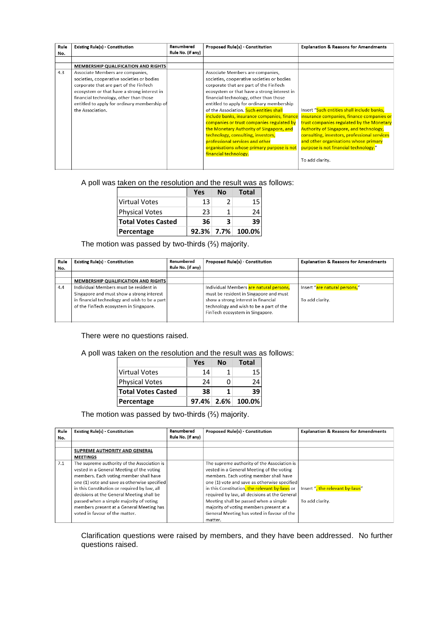| Rule | <b>Existing Rule(s) - Constitution</b>       | Renumbered        | <b>Proposed Rule(s) - Constitution</b>      | <b>Explanation &amp; Reasons for Amendments</b> |
|------|----------------------------------------------|-------------------|---------------------------------------------|-------------------------------------------------|
| No.  |                                              | Rule No. (if any) |                                             |                                                 |
|      |                                              |                   |                                             |                                                 |
|      | MEMBERSHIP QUALIFICATION AND RIGHTS          |                   |                                             |                                                 |
| 4.3  | Associate Members are companies,             |                   | Associate Members are companies,            |                                                 |
|      | societies, cooperative societies or bodies   |                   | societies, cooperative societies or bodies  |                                                 |
|      | corporate that are part of the FinTech       |                   | corporate that are part of the FinTech      |                                                 |
|      | ecosystem or that have a strong interest in  |                   | ecosystem or that have a strong interest in |                                                 |
|      | financial technology, other than those       |                   | financial technology, other than those      |                                                 |
|      | entitled to apply for ordinary membership of |                   | entitled to apply for ordinary membership   |                                                 |
|      | the Association.                             |                   | of the Association. Such entities shall     | Insert "Such entities shall include banks,      |
|      |                                              |                   | include banks, insurance companies, finance | insurance companies, finance companies or       |
|      |                                              |                   | companies or trust companies regulated by   | trust companies regulated by the Monetary       |
|      |                                              |                   | the Monetary Authority of Singapore, and    | <b>Authority of Singapore, and technology,</b>  |
|      |                                              |                   | technology, consulting, investors,          | consulting, investors, professional services    |
|      |                                              |                   | professional services and other             | and other organisations whose primary           |
|      |                                              |                   | organisations whose primary purpose is not  | purpose is not financial technology."           |
|      |                                              |                   | financial technology.                       |                                                 |
|      |                                              |                   |                                             | To add clarity.                                 |
|      |                                              |                   |                                             |                                                 |

|                           | Yes | No | <b>Total</b>         |
|---------------------------|-----|----|----------------------|
| <b>Virtual Votes</b>      | 13  | 2  | 15                   |
| <b>Physical Votes</b>     | 23  | 1  | 24                   |
| <b>Total Votes Casted</b> | 36  | 3  | 39                   |
| Percentage                |     |    | $92.3\%$ 7.7% 100.0% |

The motion was passed by two-thirds (⅔) majority.

| Rule | <b>Existing Rule(s) - Constitution</b>                                                                                               | Renumbered        | <b>Proposed Rule(s) - Constitution</b>                                                                                                                      | <b>Explanation &amp; Reasons for Amendments</b> |
|------|--------------------------------------------------------------------------------------------------------------------------------------|-------------------|-------------------------------------------------------------------------------------------------------------------------------------------------------------|-------------------------------------------------|
| No.  |                                                                                                                                      | Rule No. (if any) |                                                                                                                                                             |                                                 |
|      |                                                                                                                                      |                   |                                                                                                                                                             |                                                 |
|      | <b>MEMBERSHIP QUALIFICATION AND RIGHTS</b>                                                                                           |                   |                                                                                                                                                             |                                                 |
| 4.4  | Individual Members must be resident in                                                                                               |                   | Individual Members are natural persons,                                                                                                                     | lnsert "are natural persons,"                   |
|      | Singapore and must show a strong interest<br>in financial technology and wish to be a part<br>of the FinTech ecosystem in Singapore. |                   | must be resident in Singapore and must<br>show a strong interest in financial<br>technology and wish to be a part of the<br>FinTech ecosystem in Singapore. | To add clarity.                                 |

There were no questions raised.

A poll was taken on the resolution and the result was as follows:

|                           | Yes | Nο | Total                |
|---------------------------|-----|----|----------------------|
| <b>Virtual Votes</b>      | 14  |    | 15                   |
| <b>Physical Votes</b>     | 24  |    | 24                   |
| <b>Total Votes Casted</b> | 38  |    | 39                   |
| Percentage                |     |    | $97.4\%$ 2.6% 100.0% |

The motion was passed by two-thirds (⅔) majority.

| Rule | <b>Existing Rule(s) - Constitution</b>       | Renumbered        | <b>Proposed Rule(s) - Constitution</b>        | <b>Explanation &amp; Reasons for Amendments</b> |
|------|----------------------------------------------|-------------------|-----------------------------------------------|-------------------------------------------------|
| No.  |                                              | Rule No. (if any) |                                               |                                                 |
|      |                                              |                   |                                               |                                                 |
|      | SUPREME AUTHORITY AND GENERAL                |                   |                                               |                                                 |
|      | <b>MEETINGS</b>                              |                   |                                               |                                                 |
| 7.1  | The supreme authority of the Association is  |                   | The supreme authority of the Association is   |                                                 |
|      | vested in a General Meeting of the voting    |                   | vested in a General Meeting of the voting     |                                                 |
|      | members. Each voting member shall have       |                   | members. Each voting member shall have        |                                                 |
|      | one (1) vote and save as otherwise specified |                   | one (1) vote and save as otherwise specified  |                                                 |
|      | in this Constitution or required by law, all |                   | in this Constitution, the relevant by-laws or | Insert ", the relevant by-laws"                 |
|      | decisions at the General Meeting shall be    |                   | required by law, all decisions at the General |                                                 |
|      | passed when a simple majority of voting      |                   | Meeting shall be passed when a simple         | To add clarity.                                 |
|      | members present at a General Meeting has     |                   | majority of voting members present at a       |                                                 |
|      | voted in favour of the matter.               |                   | General Meeting has voted in favour of the    |                                                 |
|      |                                              |                   | matter.                                       |                                                 |

Clarification questions were raised by members, and they have been addressed. No further questions raised.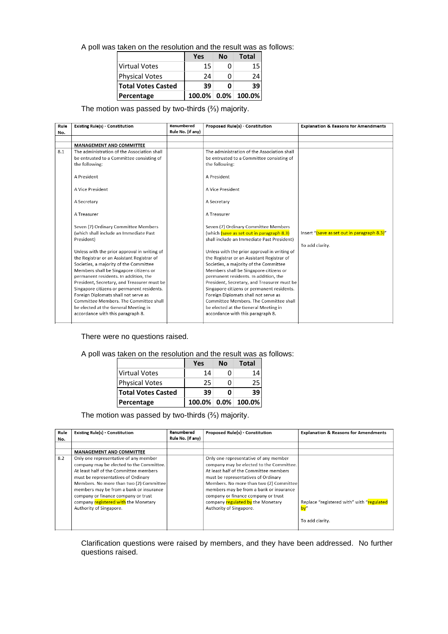|                           | Yes | Nο | Total                 |
|---------------------------|-----|----|-----------------------|
| <b>Virtual Votes</b>      | 15  |    |                       |
| <b>Physical Votes</b>     | 24  |    |                       |
| <b>Total Votes Casted</b> | 39  |    | 39                    |
| Percentage                |     |    | $100.0\%$ 0.0% 100.0% |

The motion was passed by two-thirds (⅔) majority.

| Rule | <b>Existing Rule(s) - Constitution</b>                                         | Renumbered        | Proposed Rule(s) - Constitution                                                | <b>Explanation &amp; Reasons for Amendments</b> |
|------|--------------------------------------------------------------------------------|-------------------|--------------------------------------------------------------------------------|-------------------------------------------------|
| No.  |                                                                                | Rule No. (if any) |                                                                                |                                                 |
|      |                                                                                |                   |                                                                                |                                                 |
|      | <b>MANAGEMENT AND COMMITTEE</b>                                                |                   |                                                                                |                                                 |
| 8.1  | The administration of the Association shall                                    |                   | The administration of the Association shall                                    |                                                 |
|      | be entrusted to a Committee consisting of                                      |                   | be entrusted to a Committee consisting of                                      |                                                 |
|      | the following:                                                                 |                   | the following:                                                                 |                                                 |
|      | A President                                                                    |                   | A President                                                                    |                                                 |
|      | A Vice President                                                               |                   | A Vice President                                                               |                                                 |
|      | A Secretary                                                                    |                   | A Secretary                                                                    |                                                 |
|      | A Treasurer                                                                    |                   | A Treasurer                                                                    |                                                 |
|      | Seven (7) Ordinary Committee Members                                           |                   | Seven (7) Ordinary Committee Members                                           |                                                 |
|      | (which shall include an Immediate Past                                         |                   | (which (save as set out in paragraph 8.3)                                      | Insert "(save as set out in paragraph 8.3)"     |
|      | President)                                                                     |                   | shall include an Immediate Past President)                                     |                                                 |
|      |                                                                                |                   |                                                                                | To add clarity.                                 |
|      | Unless with the prior approval in writing of                                   |                   | Unless with the prior approval in writing of                                   |                                                 |
|      | the Registrar or an Assistant Registrar of                                     |                   | the Registrar or an Assistant Registrar of                                     |                                                 |
|      | Societies, a majority of the Committee                                         |                   | Societies, a majority of the Committee                                         |                                                 |
|      | Members shall be Singapore citizens or                                         |                   | Members shall be Singapore citizens or                                         |                                                 |
|      | permanent residents. In addition, the                                          |                   | permanent residents. In addition, the                                          |                                                 |
|      | President, Secretary, and Treasurer must be                                    |                   | President, Secretary, and Treasurer must be                                    |                                                 |
|      | Singapore citizens or permanent residents.                                     |                   | Singapore citizens or permanent residents.                                     |                                                 |
|      | Foreign Diplomats shall not serve as<br>Committee Members. The Committee shall |                   | Foreign Diplomats shall not serve as<br>Committee Members. The Committee shall |                                                 |
|      |                                                                                |                   |                                                                                |                                                 |
|      | be elected at the General Meeting in<br>accordance with this paragraph 8.      |                   | be elected at the General Meeting in<br>accordance with this paragraph 8.      |                                                 |
|      |                                                                                |                   |                                                                                |                                                 |

There were no questions raised.

A poll was taken on the resolution and the result was as follows:

|                           | Yes | Nο | <b>Total</b>          |
|---------------------------|-----|----|-----------------------|
| <b>Virtual Votes</b>      | 14  |    | 14                    |
| <b>Physical Votes</b>     | 25  |    |                       |
| <b>Total Votes Casted</b> | 39  |    | 39                    |
| Percentage                |     |    | $100.0\%$ 0.0% 100.0% |

The motion was passed by two-thirds (⅔) majority.

| Rule<br>No. | <b>Existing Rule(s) - Constitution</b>                                                                                                                                                                                                                                                                                                                             | Renumbered<br>Rule No. (if any) | <b>Proposed Rule(s) - Constitution</b>                                                                                                                                                                                                                                                                                                                          | <b>Explanation &amp; Reasons for Amendments</b>              |
|-------------|--------------------------------------------------------------------------------------------------------------------------------------------------------------------------------------------------------------------------------------------------------------------------------------------------------------------------------------------------------------------|---------------------------------|-----------------------------------------------------------------------------------------------------------------------------------------------------------------------------------------------------------------------------------------------------------------------------------------------------------------------------------------------------------------|--------------------------------------------------------------|
|             |                                                                                                                                                                                                                                                                                                                                                                    |                                 |                                                                                                                                                                                                                                                                                                                                                                 |                                                              |
|             | <b>MANAGEMENT AND COMMITTEE</b>                                                                                                                                                                                                                                                                                                                                    |                                 |                                                                                                                                                                                                                                                                                                                                                                 |                                                              |
| 8.2         | Only one representative of any member<br>company may be elected to the Committee.<br>At least half of the Committee members<br>must be representatives of Ordinary<br>Members. No more than two (2) Committee<br>members may be from a bank or insurance<br>company or finance company or trust<br>company registered with the Monetary<br>Authority of Singapore. |                                 | Only one representative of any member<br>company may be elected to the Committee.<br>At least half of the Committee members<br>must be representatives of Ordinary<br>Members. No more than two (2) Committee<br>members may be from a bank or insurance<br>company or finance company or trust<br>company regulated by the Monetary<br>Authority of Singapore. | Replace "registered with" with "regulated<br>To add clarity. |

Clarification questions were raised by members, and they have been addressed. No further questions raised.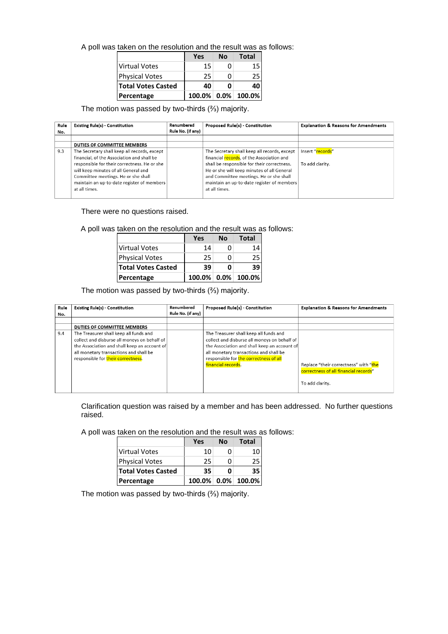|                           | Yes | Nο | Total                 |
|---------------------------|-----|----|-----------------------|
| <b>Virtual Votes</b>      | 15  |    |                       |
| <b>Physical Votes</b>     | 25  |    |                       |
| <b>Total Votes Casted</b> | 40  |    |                       |
| Percentage                |     |    | $100.0\%$ 0.0% 100.0% |

# The motion was passed by two-thirds (⅔) majority.

| Rule<br>No. | <b>Existing Rule(s) - Constitution</b>                                                                                                                                                                                                                                                   | Renumbered<br>Rule No. (if any) | <b>Proposed Rule(s) - Constitution</b>                                                                                                                                                                                                                                                           | <b>Explanation &amp; Reasons for Amendments</b> |
|-------------|------------------------------------------------------------------------------------------------------------------------------------------------------------------------------------------------------------------------------------------------------------------------------------------|---------------------------------|--------------------------------------------------------------------------------------------------------------------------------------------------------------------------------------------------------------------------------------------------------------------------------------------------|-------------------------------------------------|
|             |                                                                                                                                                                                                                                                                                          |                                 |                                                                                                                                                                                                                                                                                                  |                                                 |
|             | DUTIES OF COMMITTEE MEMBERS                                                                                                                                                                                                                                                              |                                 |                                                                                                                                                                                                                                                                                                  |                                                 |
| 9.3         | The Secretary shall keep all records, except<br>financial, of the Association and shall be<br>responsible for their correctness. He or she<br>will keep minutes of all General and<br>Committee meetings. He or she shall<br>maintain an up-to-date register of members<br>at all times. |                                 | The Secretary shall keep all records, except<br>financial records, of the Association and<br>shall be responsible for their correctness.<br>He or she will keep minutes of all General<br>and Committee meetings. He or she shall<br>maintain an up-to-date register of members<br>at all times. | Insert "records"<br>To add clarity.             |

There were no questions raised.

A poll was taken on the resolution and the result was as follows:

|                           | Yes | Nο | Total              |
|---------------------------|-----|----|--------------------|
| Virtual Votes             | 14  |    | 14                 |
| <b>Physical Votes</b>     | 25  |    | 25                 |
| <b>Total Votes Casted</b> | 39  | Ω  | 39                 |
| Percentage                |     |    | 100.0% 0.0% 100.0% |

The motion was passed by two-thirds (⅔) majority.

| Rule | <b>Existing Rule(s) - Constitution</b>       | Renumbered        | Proposed Rule(s) - Constitution              | <b>Explanation &amp; Reasons for Amendments</b> |
|------|----------------------------------------------|-------------------|----------------------------------------------|-------------------------------------------------|
| No.  |                                              | Rule No. (if any) |                                              |                                                 |
|      |                                              |                   |                                              |                                                 |
|      | DUTIES OF COMMITTEE MEMBERS                  |                   |                                              |                                                 |
| 9.4  | The Treasurer shall keep all funds and       |                   | The Treasurer shall keep all funds and       |                                                 |
|      | collect and disburse all moneys on behalf of |                   | collect and disburse all moneys on behalf of |                                                 |
|      | the Association and shall keep an account of |                   | the Association and shall keep an account of |                                                 |
|      | all monetary transactions and shall be       |                   | all monetary transactions and shall be       |                                                 |
|      | responsible for their correctness.           |                   | responsible for the correctness of all       |                                                 |
|      |                                              |                   | financial records.                           | Replace "their correctness" with "the           |
|      |                                              |                   |                                              | correctness of all financial records"           |
|      |                                              |                   |                                              |                                                 |
|      |                                              |                   |                                              | To add clarity.                                 |
|      |                                              |                   |                                              |                                                 |

Clarification question was raised by a member and has been addressed. No further questions raised.

A poll was taken on the resolution and the result was as follows:

|                           | Yes | Nο | Total              |
|---------------------------|-----|----|--------------------|
| <b>Virtual Votes</b>      | 10  | o  | 10                 |
| <b>Physical Votes</b>     | 25  | n  | 25                 |
| <b>Total Votes Casted</b> | 35  | Ω  | 35                 |
| Percentage                |     |    | 100.0% 0.0% 100.0% |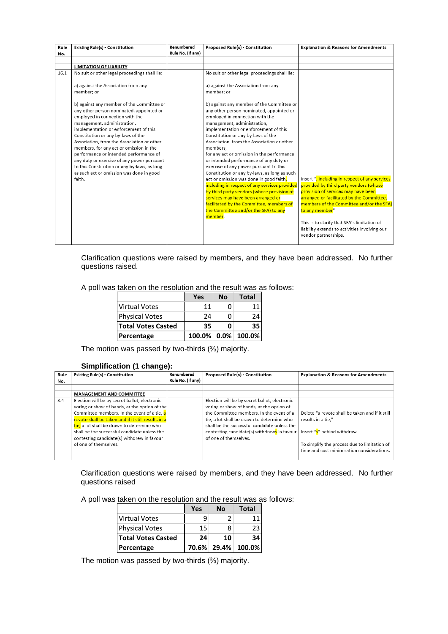| Rule<br>No. | <b>Existing Rule(s) - Constitution</b>                                           | Renumbered<br>Rule No. (if any) | Proposed Rule(s) - Constitution                                             | <b>Explanation &amp; Reasons for Amendments</b> |
|-------------|----------------------------------------------------------------------------------|---------------------------------|-----------------------------------------------------------------------------|-------------------------------------------------|
|             |                                                                                  |                                 |                                                                             |                                                 |
|             | <b>LIMITATION OF LIABILITY</b>                                                   |                                 |                                                                             |                                                 |
| 16.1        | No suit or other legal proceedings shall lie:                                    |                                 | No suit or other legal proceedings shall lie:                               |                                                 |
|             | a) against the Association from any                                              |                                 | a) against the Association from any                                         |                                                 |
|             | member: or                                                                       |                                 | member: or                                                                  |                                                 |
|             |                                                                                  |                                 |                                                                             |                                                 |
|             | b) against any member of the Committee or                                        |                                 | b) against any member of the Committee or                                   |                                                 |
|             | any other person nominated, appointed or                                         |                                 | any other person nominated, appointed or                                    |                                                 |
|             | employed in connection with the                                                  |                                 | employed in connection with the                                             |                                                 |
|             | management, administration,                                                      |                                 | management, administration,                                                 |                                                 |
|             | implementation or enforcement of this                                            |                                 | implementation or enforcement of this<br>Constitution or any by-laws of the |                                                 |
|             | Constitution or any by-laws of the<br>Association, from the Association or other |                                 | Association, from the Association or other                                  |                                                 |
|             | members, for any act or omission in the                                          |                                 | members.                                                                    |                                                 |
|             | performance or intended performance of                                           |                                 | for any act or omission in the performance                                  |                                                 |
|             | any duty or exercise of any power pursuant                                       |                                 | or intended performance of any duty or                                      |                                                 |
|             | to this Constitution or any by-laws, as long                                     |                                 | exercise of any power pursuant to this                                      |                                                 |
|             | as such act or omission was done in good                                         |                                 | Constitution or any by-laws, as long as such                                |                                                 |
|             | faith.                                                                           |                                 | act or omission was done in good faith,                                     | Insert ", including in respect of any services  |
|             |                                                                                  |                                 | including in respect of any services provided                               | provided by third party vendors (whose          |
|             |                                                                                  |                                 | by third party vendors (whose provision of                                  | provision of services may have been             |
|             |                                                                                  |                                 | services may have been arranged or                                          | arranged or facilitated by the Committee,       |
|             |                                                                                  |                                 | facilitated by the Committee, members of                                    | members of the Committee and/or the SFA)        |
|             |                                                                                  |                                 | the Committee and/or the SFA) to any                                        | to any member"                                  |
|             |                                                                                  |                                 | member.                                                                     |                                                 |
|             |                                                                                  |                                 |                                                                             | This is to clarify that SFA's limitation of     |
|             |                                                                                  |                                 |                                                                             | liability extends to activities involving our   |
|             |                                                                                  |                                 |                                                                             | vendor partnerships.                            |
|             |                                                                                  |                                 |                                                                             |                                                 |

Clarification questions were raised by members, and they have been addressed. No further questions raised.

A poll was taken on the resolution and the result was as follows:

|                           | Yes | <b>No</b> | <b>Total</b>                    |
|---------------------------|-----|-----------|---------------------------------|
| Virtual Votes             | 11  | n         |                                 |
| <b>Physical Votes</b>     | 74  | n         | 24                              |
| <b>Total Votes Casted</b> | 35  | 0         | 35                              |
| Percentage                |     |           | $100.0\%$   $0.0\%$   $100.0\%$ |

The motion was passed by two-thirds (⅔) majority.

# **Simplification (1 change):**

| Rule | <b>Existing Rule(s) - Constitution</b>             | Renumbered        | <b>Proposed Rule(s) - Constitution</b>        | <b>Explanation &amp; Reasons for Amendments</b> |
|------|----------------------------------------------------|-------------------|-----------------------------------------------|-------------------------------------------------|
| No.  |                                                    | Rule No. (if any) |                                               |                                                 |
|      |                                                    |                   |                                               |                                                 |
|      | <b>MANAGEMENT AND COMMITTEE</b>                    |                   |                                               |                                                 |
| 8.4  | Election will be by secret ballot, electronic      |                   | Election will be by secret ballot, electronic |                                                 |
|      | voting or show of hands, at the option of the      |                   | voting or show of hands, at the option of     |                                                 |
|      | Committee members. In the event of a tie, $a$      |                   | the Committee members. In the event of a      | Delete "a revote shall be taken and if it still |
|      | revote shall be taken and if it still results in a |                   | tie, a lot shall be drawn to determine who    | results in a tie."                              |
|      | tie, a lot shall be drawn to determine who         |                   | shall be the successful candidate unless the  |                                                 |
|      | shall be the successful candidate unless the       |                   | contesting candidate(s) withdraws in favour   | Insert "s" behind withdraw                      |
|      | contesting candidate(s) withdrew in favour         |                   | of one of themselves.                         |                                                 |
|      | of one of themselves.                              |                   |                                               | To simplify the process due to limitation of    |
|      |                                                    |                   |                                               | time and cost minimisation considerations.      |
|      |                                                    |                   |                                               |                                                 |

Clarification questions were raised by members, and they have been addressed. No further questions raised

A poll was taken on the resolution and the result was as follows:

|                           | Yes | <b>No</b> | <b>Total</b>       |
|---------------------------|-----|-----------|--------------------|
| Virtual Votes             | q   |           | 11                 |
| <b>Physical Votes</b>     | 15  | ጸ         | 23                 |
| <b>Total Votes Casted</b> | 24  | 10        | 34                 |
| Percentage                |     |           | 70.6% 29.4% 100.0% |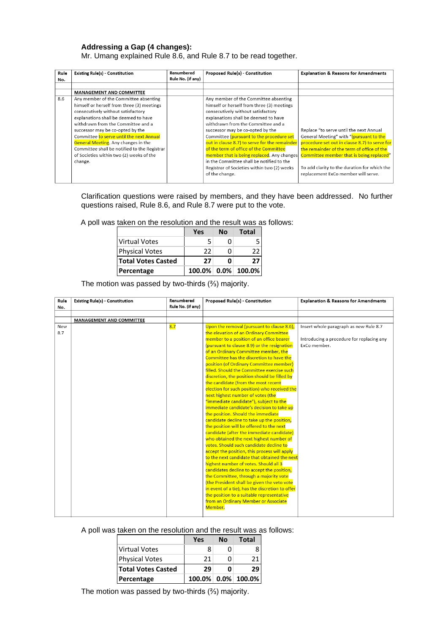# **Addressing a Gap (4 changes):**

Mr. Umang explained Rule 8.6, and Rule 8.7 to be read together.

| Rule | <b>Existing Rule(s) - Constitution</b>       | Renumbered        | <b>Proposed Rule(s) - Constitution</b>        | <b>Explanation &amp; Reasons for Amendments</b> |
|------|----------------------------------------------|-------------------|-----------------------------------------------|-------------------------------------------------|
| No.  |                                              | Rule No. (if any) |                                               |                                                 |
|      |                                              |                   |                                               |                                                 |
|      | <b>MANAGEMENT AND COMMITTEE</b>              |                   |                                               |                                                 |
| 8.6  | Any member of the Committee absenting        |                   | Any member of the Committee absenting         |                                                 |
|      | himself or herself from three (3) meetings   |                   | himself or herself from three (3) meetings    |                                                 |
|      | consecutively without satisfactory           |                   | consecutively without satisfactory            |                                                 |
|      | explanations shall be deemed to have         |                   | explanations shall be deemed to have          |                                                 |
|      | withdrawn from the Committee and a           |                   | withdrawn from the Committee and a            |                                                 |
|      | successor may be co-opted by the             |                   | successor may be co-opted by the              | Replace "to serve until the next Annual         |
|      | Committee to serve until the next Annual     |                   | Committee (pursuant to the procedure set      | General Meeting" with "(pursuant to the         |
|      | <b>General Meeting.</b> Any changes in the   |                   | out in clause 8.7) to serve for the remainder | procedure set out in clause 8.7) to serve for   |
|      | Committee shall be notified to the Registrar |                   | of the term of office of the Committee        | the remainder of the term of office of the      |
|      | of Societies within two (2) weeks of the     |                   | member that is being replaced. Any changes    | Committee member that is being replaced"        |
|      | change.                                      |                   | in the Committee shall be notified to the     |                                                 |
|      |                                              |                   | Registrar of Societies within two (2) weeks   | To add clarity to the duration for which the    |
|      |                                              |                   | of the change.                                | replacement ExCo member will serve.             |
|      |                                              |                   |                                               |                                                 |

Clarification questions were raised by members, and they have been addressed. No further questions raised, Rule 8.6, and Rule 8.7 were put to the vote.

A poll was taken on the resolution and the result was as follows:

|                           | Yes | Nο | Total                           |
|---------------------------|-----|----|---------------------------------|
| Virtual Votes             | 5   | o  |                                 |
| <b>Physical Votes</b>     | 22. | ი  | 22                              |
| <b>Total Votes Casted</b> | 27  | O  | 77                              |
| Percentage                |     |    | $100.0\%$   $0.0\%$   $100.0\%$ |

The motion was passed by two-thirds (⅔) majority.

| Rule | <b>Existing Rule(s) - Constitution</b> | Renumbered        | Proposed Rule(s) - Constitution                 | <b>Explanation &amp; Reasons for Amendments</b> |
|------|----------------------------------------|-------------------|-------------------------------------------------|-------------------------------------------------|
| No.  |                                        | Rule No. (if any) |                                                 |                                                 |
|      |                                        |                   |                                                 |                                                 |
|      | <b>MANAGEMENT AND COMMITTEE</b>        |                   |                                                 |                                                 |
| New  |                                        | 8.7               | Upon the removal (pursuant to clause 8.6),      | Insert whole paragraph as new Rule 8.7          |
| 8.7  |                                        |                   | the elevation of an Ordinary Committee          |                                                 |
|      |                                        |                   | member to a position of an office bearer        | Introducing a procedure for replacing any       |
|      |                                        |                   | (pursuant to clause 8.9) or the resignation     | ExCo member.                                    |
|      |                                        |                   | of an Ordinary Committee member, the            |                                                 |
|      |                                        |                   | Committee has the discretion to have the        |                                                 |
|      |                                        |                   | position (of Ordinary Committee member)         |                                                 |
|      |                                        |                   | filled. Should the Committee exercise such      |                                                 |
|      |                                        |                   | discretion, the position should be filled by    |                                                 |
|      |                                        |                   | the candidate (from the most recent             |                                                 |
|      |                                        |                   | election for such position) who received the    |                                                 |
|      |                                        |                   | next highest number of votes (the               |                                                 |
|      |                                        |                   | "immediate candidate"), subject to the          |                                                 |
|      |                                        |                   | immediate candidate's decision to take up       |                                                 |
|      |                                        |                   | the position. Should the immediate              |                                                 |
|      |                                        |                   | candidate decline to take up the position,      |                                                 |
|      |                                        |                   | the position will be offered to the next        |                                                 |
|      |                                        |                   | candidate (after the immediate candidate)       |                                                 |
|      |                                        |                   | who obtained the next highest number of         |                                                 |
|      |                                        |                   | votes. Should such candidate decline to         |                                                 |
|      |                                        |                   | accept the position, this process will apply    |                                                 |
|      |                                        |                   | to the next candidate that obtained the next    |                                                 |
|      |                                        |                   | highest number of votes. Should all 3           |                                                 |
|      |                                        |                   | candidates decline to accept the position,      |                                                 |
|      |                                        |                   | the Committee, through a majority vote          |                                                 |
|      |                                        |                   | (the President shall be given the veto vote     |                                                 |
|      |                                        |                   | in event of a tie), has the discretion to offer |                                                 |
|      |                                        |                   | the position to a suitable representative       |                                                 |
|      |                                        |                   | from an Ordinary Member or Associate            |                                                 |
|      |                                        |                   | Member.                                         |                                                 |
|      |                                        |                   |                                                 |                                                 |

A poll was taken on the resolution and the result was as follows:

|                           | <b>Yes</b> | Nο | <b>Total</b>       |
|---------------------------|------------|----|--------------------|
| Virtual Votes             | 8          | n  |                    |
| Physical Votes            | 21         | n  | 21                 |
| <b>Total Votes Casted</b> | 29         | Ω  | 29                 |
| Percentage                |            |    | 100.0% 0.0% 100.0% |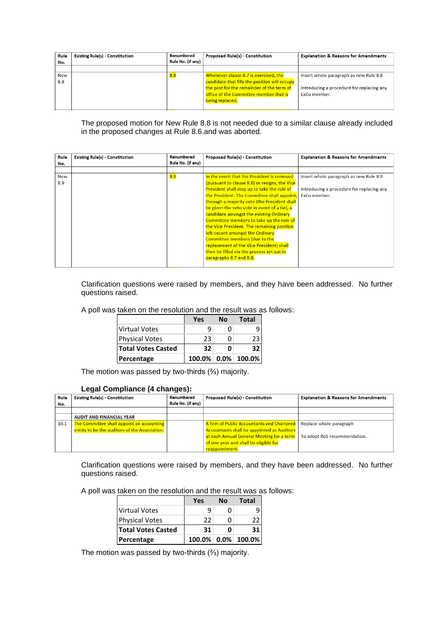| Rule<br>No. | <b>Existing Rule(s) - Constitution</b> | Renumbered<br>Rule No. (if any) | <b>Proposed Rule(s) - Constitution</b>                                                                                              | <b>Explanation &amp; Reasons for Amendments</b>                                     |
|-------------|----------------------------------------|---------------------------------|-------------------------------------------------------------------------------------------------------------------------------------|-------------------------------------------------------------------------------------|
| New<br>8.8  |                                        | 8.8                             | Whenever clause 8.7 is exercised, the<br>candidate that fills the position will occupy<br>the post for the remainder of the term of | Insert whole paragraph as new Rule 8.8<br>Introducing a procedure for replacing any |
|             |                                        |                                 | office of the Committee member that is<br>being replaced.                                                                           | ExCo member.                                                                        |

The proposed motion for New Rule 8.8 is not needed due to a similar clause already included in the proposed changes at Rule 8.6.and was aborted.

| Rule<br>No. | <b>Existing Rule(s) - Constitution</b> | Renumbered<br>Rule No. (if any) | <b>Proposed Rule(s) - Constitution</b>                                                                                                                                                                                                                                                                                                                                                                                                                                                                                                                                                                                         | <b>Explanation &amp; Reasons for Amendments</b>                                                     |  |
|-------------|----------------------------------------|---------------------------------|--------------------------------------------------------------------------------------------------------------------------------------------------------------------------------------------------------------------------------------------------------------------------------------------------------------------------------------------------------------------------------------------------------------------------------------------------------------------------------------------------------------------------------------------------------------------------------------------------------------------------------|-----------------------------------------------------------------------------------------------------|--|
| New<br>8.9  |                                        | <mark>8.9</mark>                | In the event that the President is removed<br>(pursuant to clause 8.6) or resigns, the Vice<br>President shall step up to take the role of<br>the President. The Committee shall appoint,<br>through a majority vote (the President shall<br>be given the veto vote in event of a tie), a<br>candidate amongst the existing Ordinary<br>Committee members to take up the role of<br>the Vice President. The remaining position<br>left vacant amongst the Ordinary<br><b>Committee members (due to the</b><br>replacement of the Vice President) shall<br>then be filled via the process set out in<br>paragraphs 8.7 and 8.8. | Insert whole paragraph as new Rule 8.9<br>Introducing a procedure for replacing any<br>ExCo member. |  |

Clarification questions were raised by members, and they have been addressed. No further questions raised.

| A poll was taken on the resolution and the result was as follows: |  |  |  |  |  |  |  |
|-------------------------------------------------------------------|--|--|--|--|--|--|--|
|-------------------------------------------------------------------|--|--|--|--|--|--|--|

|                           | Yes | <b>No</b> | <b>Total</b>              |
|---------------------------|-----|-----------|---------------------------|
| <b>Virtual Votes</b>      | q   |           |                           |
| <b>Physical Votes</b>     | 23  |           | 23                        |
| <b>Total Votes Casted</b> | 32. |           | 32                        |
| Percentage                |     |           | $100.0\%$   0.0%   100.0% |

The motion was passed by two-thirds (⅔) majority.

#### **Legal Compliance (4 changes):**

| Rule | <b>Existing Rule(s) - Constitution</b>        | Renumbered<br>Rule No. (if any) | <b>Proposed Rule(s) - Constitution</b>            | <b>Explanation &amp; Reasons for Amendments</b> |
|------|-----------------------------------------------|---------------------------------|---------------------------------------------------|-------------------------------------------------|
| No.  |                                               |                                 |                                                   |                                                 |
|      |                                               |                                 |                                                   |                                                 |
|      | <b>AUDIT AND FINANCIAL YEAR</b>               |                                 |                                                   |                                                 |
| 10.1 | The Committee shall appoint an accounting     |                                 | A firm of Public Accountants and Chartered        | Replace whole paragraph                         |
|      | entity to be the auditors of the Association. |                                 | <b>Accountants shall be appointed as Auditors</b> |                                                 |
|      |                                               |                                 | at each Annual General Meeting for a term         | To adopt RoS recommendation.                    |
|      |                                               |                                 | of one year and shall be eligible for             |                                                 |
|      |                                               |                                 | reappointment.                                    |                                                 |

Clarification questions were raised by members, and they have been addressed. No further questions raised.

A poll was taken on the resolution and the result was as follows:

|                           | Yes | Nο | <b>Total</b>                    |
|---------------------------|-----|----|---------------------------------|
| Virtual Votes             |     |    | q                               |
| <b>Physical Votes</b>     | 22  |    | 22                              |
| <b>Total Votes Casted</b> | 31  | O  | 31                              |
| Percentage                |     |    | $100.0\%$   $0.0\%$   $100.0\%$ |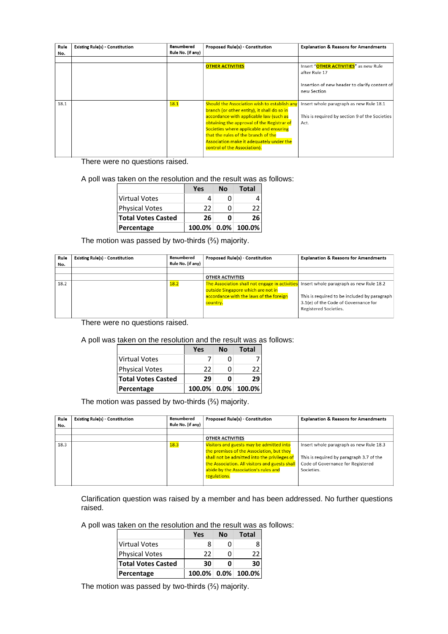| Rule<br>No. | <b>Existing Rule(s) - Constitution</b> | Renumbered<br>Rule No. (if any) | <b>Proposed Rule(s) - Constitution</b>                                                                                                                                                                                                                                                                                                                    | <b>Explanation &amp; Reasons for Amendments</b>                                                                        |
|-------------|----------------------------------------|---------------------------------|-----------------------------------------------------------------------------------------------------------------------------------------------------------------------------------------------------------------------------------------------------------------------------------------------------------------------------------------------------------|------------------------------------------------------------------------------------------------------------------------|
|             |                                        |                                 |                                                                                                                                                                                                                                                                                                                                                           |                                                                                                                        |
|             |                                        |                                 | <b>OTHER ACTIVITIES</b>                                                                                                                                                                                                                                                                                                                                   | Insert "OTHER ACTIVITIES" as new Rule<br>after Rule 17<br>Insertion of new header to clarify content of<br>new Section |
| 18.1        |                                        | 18.1                            | Should the Association wish to establish any<br>branch (or other entity), it shall do so in<br>accordance with applicable law (such as<br>obtaining the approval of the Registrar of<br>Societies where applicable and ensuring<br>that the rules of the branch of the<br><b>Association make it adequately under the</b><br>control of the Association). | Insert whole paragraph as new Rule 18.1<br>This is required by section 9 of the Societies<br>Act.                      |

There were no questions raised.

A poll was taken on the resolution and the result was as follows:

|                           | Yes | Nο | <b>Total</b>          |
|---------------------------|-----|----|-----------------------|
| <b>Virtual Votes</b>      | 4   | n  |                       |
| <b>Physical Votes</b>     | 22  | n  | 22                    |
| <b>Total Votes Casted</b> | 26  | O  | 26                    |
| Percentage                |     |    | $100.0\%$ 0.0% 100.0% |

The motion was passed by two-thirds (⅔) majority.

| Rule<br>No. | <b>Existing Rule(s) - Constitution</b> | Renumbered<br>Rule No. (if any) | <b>Proposed Rule(s) - Constitution</b>                                                 | <b>Explanation &amp; Reasons for Amendments</b> |
|-------------|----------------------------------------|---------------------------------|----------------------------------------------------------------------------------------|-------------------------------------------------|
|             |                                        |                                 |                                                                                        |                                                 |
|             |                                        |                                 | <b>OTHER ACTIVITIES</b>                                                                |                                                 |
| 18.2        |                                        | 18.2                            | The Association shall not engage in activities Insert whole paragraph as new Rule 18.2 |                                                 |
|             |                                        |                                 | outside Singapore which are not in                                                     |                                                 |
|             |                                        |                                 | accordance with the laws of the foreign                                                | This is required to be included by paragraph    |
|             |                                        |                                 | country.                                                                               | 3.1(e) of the Code of Governance for            |
|             |                                        |                                 |                                                                                        | Registered Societies.                           |
|             |                                        |                                 |                                                                                        |                                                 |

There were no questions raised.

A poll was taken on the resolution and the result was as follows:

|                           | Yes | Nο | Total                     |
|---------------------------|-----|----|---------------------------|
| <b>Virtual Votes</b>      |     |    |                           |
| <b>Physical Votes</b>     | 22  |    | 22                        |
| <b>Total Votes Casted</b> | 29  |    | 29                        |
| Percentage                |     |    | $100.0\%$   0.0%   100.0% |

The motion was passed by two-thirds (⅔) majority.

| Rule<br>No. | <b>Existing Rule(s) - Constitution</b> | Renumbered<br>Rule No. (if any) | Proposed Rule(s) - Constitution                                                                                                                                                                                                                 | <b>Explanation &amp; Reasons for Amendments</b>                                                                                        |
|-------------|----------------------------------------|---------------------------------|-------------------------------------------------------------------------------------------------------------------------------------------------------------------------------------------------------------------------------------------------|----------------------------------------------------------------------------------------------------------------------------------------|
|             |                                        |                                 |                                                                                                                                                                                                                                                 |                                                                                                                                        |
|             |                                        |                                 | <b>OTHER ACTIVITIES</b>                                                                                                                                                                                                                         |                                                                                                                                        |
| 18.3        |                                        | <u>18.3</u>                     | Visitors and guests may be admitted into<br>the premises of the Association, but they<br>shall not be admitted into the privileges of<br>the Association. All visitors and guests shall<br>abide by the Association's rules and<br>regulations. | Insert whole paragraph as new Rule 18.3<br>This is required by paragraph 3.7 of the<br>Code of Governance for Registered<br>Societies. |

Clarification question was raised by a member and has been addressed. No further questions raised.

A poll was taken on the resolution and the result was as follows:

|                           | Yes | Nο | Total                 |
|---------------------------|-----|----|-----------------------|
| Virtual Votes             | 8   |    |                       |
| <b>Physical Votes</b>     | 22  |    | 77                    |
| <b>Total Votes Casted</b> | 30  |    | 30                    |
| Percentage                |     |    | $100.0\%$ 0.0% 100.0% |